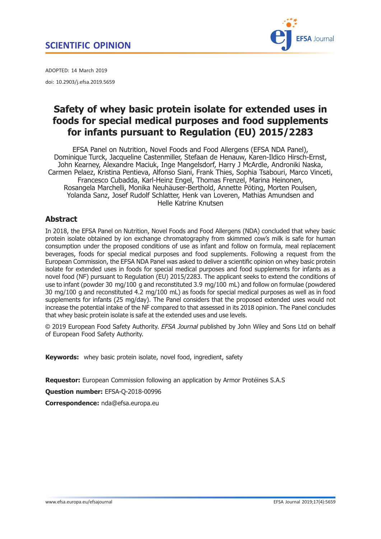## <span id="page-0-0"></span>SCIENTIFIC OPINION



ADOPTED: 14 March 2019 doi: 10.2903/j.efsa.2019.5659

# Safety of whey basic protein isolate for extended uses in foods for special medical purposes and food supplements for infants pursuant to Regulation (EU) 2015/2283

EFSA Panel on Nutrition, Novel Foods and Food Allergens (EFSA NDA Panel), Dominique Turck, Jacqueline Castenmiller, Stefaan de Henauw, Karen-Ildico Hirsch-Ernst, John Kearney, Alexandre Maciuk, Inge Mangelsdorf, Harry J McArdle, Androniki Naska, Carmen Pelaez, Kristina Pentieva, Alfonso Siani, Frank Thies, Sophia Tsabouri, Marco Vinceti, Francesco Cubadda, Karl-Heinz Engel, Thomas Frenzel, Marina Heinonen, Rosangela Marchelli, Monika Neuhäuser-Berthold, Annette Pöting, Morten Poulsen, Yolanda Sanz, Josef Rudolf Schlatter, Henk van Loveren, Mathias Amundsen and Helle Katrine Knutsen

## Abstract

In 2018, the EFSA Panel on Nutrition, Novel Foods and Food Allergens (NDA) concluded that whey basic protein isolate obtained by ion exchange chromatography from skimmed cow's milk is safe for human consumption under the proposed conditions of use as infant and follow on formula, meal replacement beverages, foods for special medical purposes and food supplements. Following a request from the European Commission, the EFSA NDA Panel was asked to deliver a scientific opinion on whey basic protein isolate for extended uses in foods for special medical purposes and food supplements for infants as a novel food (NF) pursuant to Regulation (EU) 2015/2283. The applicant seeks to extend the conditions of use to infant (powder 30 mg/100 g and reconstituted 3.9 mg/100 mL) and follow on formulae (powdered 30 mg/100 g and reconstituted 4.2 mg/100 mL) as foods for special medical purposes as well as in food supplements for infants (25 mg/day). The Panel considers that the proposed extended uses would not increase the potential intake of the NF compared to that assessed in its 2018 opinion. The Panel concludes that whey basic protein isolate is safe at the extended uses and use levels.

© 2019 European Food Safety Authority. EFSA Journal published by John Wiley and Sons Ltd on behalf of European Food Safety Authority.

Keywords: whey basic protein isolate, novel food, ingredient, safety

Requestor: European Commission following an application by Armor Protéines S.A.S

Question number: EFSA-Q-2018-00996

Correspondence: nda@efsa.europa.eu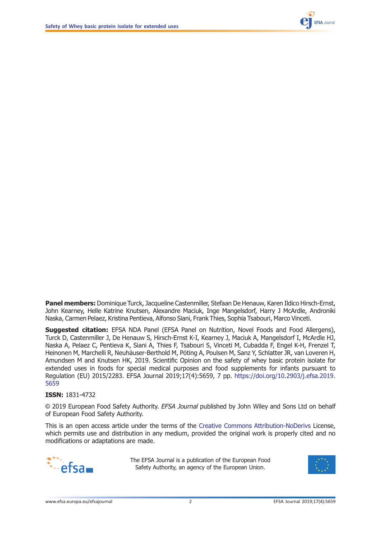

Panel members: Dominique Turck, Jacqueline Castenmiller, Stefaan De Henauw, Karen Ildico Hirsch-Ernst, John Kearney, Helle Katrine Knutsen, Alexandre Maciuk, Inge Mangelsdorf, Harry J McArdle, Androniki Naska, Carmen Pelaez, Kristina Pentieva, Alfonso Siani, Frank Thies, Sophia Tsabouri, Marco Vinceti.

**Suggested citation:** EFSA NDA Panel (EFSA Panel on Nutrition, Novel Foods and Food Allergens), Turck D, Castenmiller J, De Henauw S, Hirsch-Ernst K-I, Kearney J, Maciuk A, Mangelsdorf I, McArdle HJ, Naska A, Pelaez C, Pentieva K, Siani A, Thies F, Tsabouri S, Vinceti M, Cubadda F, Engel K-H, Frenzel T, Heinonen M, Marchelli R, Neuhäuser-Berthold M, Pöting A, Poulsen M, Sanz Y, Schlatter JR, van Loveren H, Amundsen M and Knutsen HK, 2019. Scientific Opinion on the safety of whey basic protein isolate for extended uses in foods for special medical purposes and food supplements for infants pursuant to Regulation (EU) 2015/2283. EFSA Journal 2019;17(4):5659, 7 pp. [https://doi.org/10.2903/j.efsa.2019.](https://doi.org/10.2903/j.efsa.2019.5659) [5659](https://doi.org/10.2903/j.efsa.2019.5659)

#### ISSN: 1831-4732

© 2019 European Food Safety Authority. EFSA Journal published by John Wiley and Sons Ltd on behalf of European Food Safety Authority.

This is an open access article under the terms of the [Creative Commons Attribution-NoDerivs](http://creativecommons.org/licenses/by-nd/4.0/) License, which permits use and distribution in any medium, provided the original work is properly cited and no modifications or adaptations are made.



The EFSA Journal is a publication of the European Food Safety Authority, an agency of the European Union.

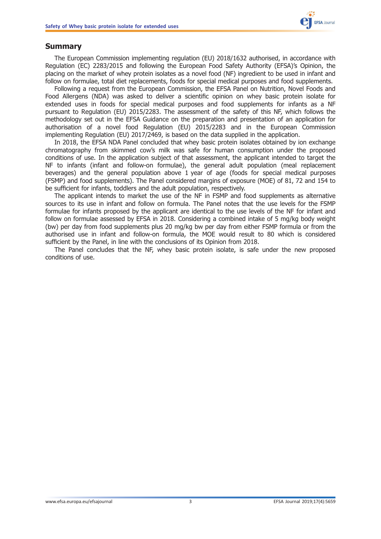## <span id="page-2-0"></span>Summary

The European Commission implementing regulation (EU) 2018/1632 authorised, in accordance with Regulation (EC) 2283/2015 and following the European Food Safety Authority (EFSA)'s Opinion, the placing on the market of whey protein isolates as a novel food (NF) ingredient to be used in infant and follow on formulae, total diet replacements, foods for special medical purposes and food supplements.

Following a request from the European Commission, the EFSA Panel on Nutrition, Novel Foods and Food Allergens (NDA) was asked to deliver a scientific opinion on whey basic protein isolate for extended uses in foods for special medical purposes and food supplements for infants as a NF pursuant to Regulation (EU) 2015/2283. The assessment of the safety of this NF, which follows the methodology set out in the EFSA Guidance on the preparation and presentation of an application for authorisation of a novel food Regulation (EU) 2015/2283 and in the European Commission implementing Regulation (EU) 2017/2469, is based on the data supplied in the application.

In 2018, the EFSA NDA Panel concluded that whey basic protein isolates obtained by ion exchange chromatography from skimmed cow's milk was safe for human consumption under the proposed conditions of use. In the application subject of that assessment, the applicant intended to target the NF to infants (infant and follow-on formulae), the general adult population (meal replacement beverages) and the general population above 1 year of age (foods for special medical purposes (FSMP) and food supplements). The Panel considered margins of exposure (MOE) of 81, 72 and 154 to be sufficient for infants, toddlers and the adult population, respectively.

The applicant intends to market the use of the NF in FSMP and food supplements as alternative sources to its use in infant and follow on formula. The Panel notes that the use levels for the FSMP formulae for infants proposed by the applicant are identical to the use levels of the NF for infant and follow on formulae assessed by EFSA in 2018. Considering a combined intake of 5 mg/kg body weight (bw) per day from food supplements plus 20 mg/kg bw per day from either FSMP formula or from the authorised use in infant and follow-on formula, the MOE would result to 80 which is considered sufficient by the Panel, in line with the conclusions of its Opinion from 2018.

The Panel concludes that the NF, whey basic protein isolate, is safe under the new proposed conditions of use.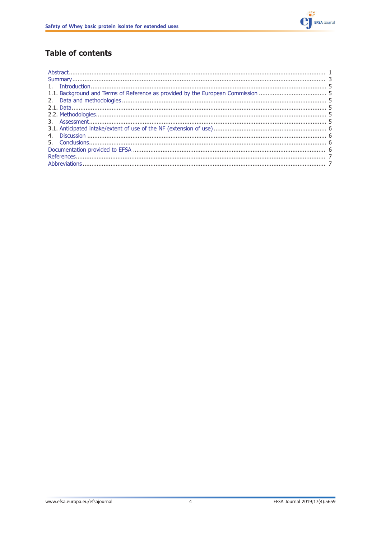

## **Table of contents**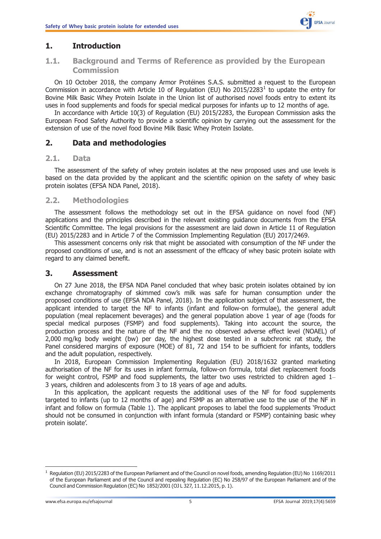## <span id="page-4-0"></span>1. Introduction

## 1.1. Background and Terms of Reference as provided by the European Commission

On 10 October 2018, the company Armor Protéines S.A.S. submitted a request to the European Commission in accordance with Article 10 of Regulation (EU) No 2015/2283<sup>1</sup> to update the entry for Bovine Milk Basic Whey Protein Isolate in the Union list of authorised novel foods entry to extent its uses in food supplements and foods for special medical purposes for infants up to 12 months of age.

In accordance with Article 10(3) of Regulation (EU) 2015/2283, the European Commission asks the European Food Safety Authority to provide a scientific opinion by carrying out the assessment for the extension of use of the novel food Bovine Milk Basic Whey Protein Isolate.

## 2. Data and methodologies

#### 2.1. Data

The assessment of the safety of whey protein isolates at the new proposed uses and use levels is based on the data provided by the applicant and the scientific opinion on the safety of whey basic protein isolates (EFSA NDA Panel, 2018).

#### 2.2. Methodologies

The assessment follows the methodology set out in the EFSA guidance on novel food (NF) applications and the principles described in the relevant existing guidance documents from the EFSA Scientific Committee. The legal provisions for the assessment are laid down in Article 11 of Regulation (EU) 2015/2283 and in Article 7 of the Commission Implementing Regulation (EU) 2017/2469.

This assessment concerns only risk that might be associated with consumption of the NF under the proposed conditions of use, and is not an assessment of the efficacy of whey basic protein isolate with regard to any claimed benefit.

### 3. Assessment

On 27 June 2018, the EFSA NDA Panel concluded that whey basic protein isolates obtained by ion exchange chromatography of skimmed cow's milk was safe for human consumption under the proposed conditions of use (EFSA NDA Panel, 2018). In the application subject of that assessment, the applicant intended to target the NF to infants (infant and follow-on formulae), the general adult population (meal replacement beverages) and the general population above 1 year of age (foods for special medical purposes (FSMP) and food supplements). Taking into account the source, the production process and the nature of the NF and the no observed adverse effect level (NOAEL) of 2,000 mg/kg body weight (bw) per day, the highest dose tested in a subchronic rat study, the Panel considered margins of exposure (MOE) of 81, 72 and 154 to be sufficient for infants, toddlers and the adult population, respectively.

In 2018, European Commission Implementing Regulation (EU) 2018/1632 granted marketing authorisation of the NF for its uses in infant formula, follow-on formula, total diet replacement foods for weight control, FSMP and food supplements, the latter two uses restricted to children aged 1– 3 years, children and adolescents from 3 to 18 years of age and adults.

In this application, the applicant requests the additional uses of the NF for food supplements targeted to infants (up to 12 months of age) and FSMP as an alternative use to the use of the NF in infant and follow on formula (Table [1](#page-5-0)). The applicant proposes to label the food supplements 'Product should not be consumed in conjunction with infant formula (standard or FSMP) containing basic whey protein isolate'.

 $1$  Regulation (EU) 2015/2283 of the European Parliament and of the Council on novel foods, amending Regulation (EU) No 1169/2011 of the European Parliament and of the Council and repealing Regulation (EC) No 258/97 of the European Parliament and of the Council and Commission Regulation (EC) No 1852/2001 (OJ L 327, 11.12.2015, p. 1).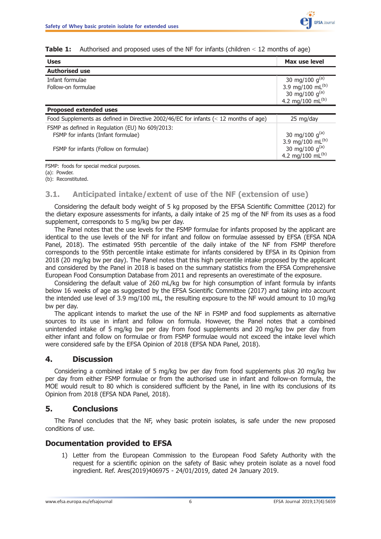| <b>Uses</b>                                                                                                                    | Max use level                                                                                                |
|--------------------------------------------------------------------------------------------------------------------------------|--------------------------------------------------------------------------------------------------------------|
| <b>Authorised use</b>                                                                                                          |                                                                                                              |
| Infant formulae<br>Follow-on formulae                                                                                          | 30 mg/100 g <sup>(a)</sup><br>3.9 mg/100 mL <sup>(b)</sup><br>30 mg/100 g(a)<br>4.2 mg/100 mL <sup>(b)</sup> |
| <b>Proposed extended uses</b>                                                                                                  |                                                                                                              |
| Food Supplements as defined in Directive 2002/46/EC for infants $(< 12$ months of age)                                         | 25 mg/day                                                                                                    |
| FSMP as defined in Regulation (EU) No 609/2013:<br>FSMP for infants (Infant formulae)<br>FSMP for infants (Follow on formulae) | 30 mg/100 g <sup>(a)</sup><br>3.9 mg/100 mL <sup>(b)</sup><br>30 mg/100 g(a)<br>4.2 mg/100 mL <sup>(b)</sup> |

<span id="page-5-0"></span>**Table 1:** Authorised and proposed uses of the NF for infants (children  $\leq$  12 months of age)

FSMP: foods for special medical purposes. (a): Powder. (b): Reconstituted.

#### 3.1. Anticipated intake/extent of use of the NF (extension of use)

Considering the default body weight of 5 kg proposed by the EFSA Scientific Committee (2012) for the dietary exposure assessments for infants, a daily intake of 25 mg of the NF from its uses as a food supplement, corresponds to 5 mg/kg bw per day.

The Panel notes that the use levels for the FSMP formulae for infants proposed by the applicant are identical to the use levels of the NF for infant and follow on formulae assessed by EFSA (EFSA NDA Panel, 2018). The estimated 95th percentile of the daily intake of the NF from FSMP therefore corresponds to the 95th percentile intake estimate for infants considered by EFSA in its Opinion from 2018 (20 mg/kg bw per day). The Panel notes that this high percentile intake proposed by the applicant and considered by the Panel in 2018 is based on the summary statistics from the EFSA Comprehensive European Food Consumption Database from 2011 and represents an overestimate of the exposure.

Considering the default value of 260 mL/kg bw for high consumption of infant formula by infants below 16 weeks of age as suggested by the EFSA Scientific Committee (2017) and taking into account the intended use level of 3.9 mg/100 mL, the resulting exposure to the NF would amount to 10 mg/kg bw per day.

The applicant intends to market the use of the NF in FSMP and food supplements as alternative sources to its use in infant and follow on formula. However, the Panel notes that a combined unintended intake of 5 mg/kg bw per day from food supplements and 20 mg/kg bw per day from either infant and follow on formulae or from FSMP formulae would not exceed the intake level which were considered safe by the EFSA Opinion of 2018 (EFSA NDA Panel, 2018).

## 4. Discussion

Considering a combined intake of 5 mg/kg bw per day from food supplements plus 20 mg/kg bw per day from either FSMP formulae or from the authorised use in infant and follow-on formula, the MOE would result to 80 which is considered sufficient by the Panel, in line with its conclusions of its Opinion from 2018 (EFSA NDA Panel, 2018).

## 5. Conclusions

The Panel concludes that the NF, whey basic protein isolates, is safe under the new proposed conditions of use.

## Documentation provided to EFSA

1) Letter from the European Commission to the European Food Safety Authority with the request for a scientific opinion on the safety of Basic whey protein isolate as a novel food ingredient. Ref. Ares(2019)406975 - 24/01/2019, dated 24 January 2019.